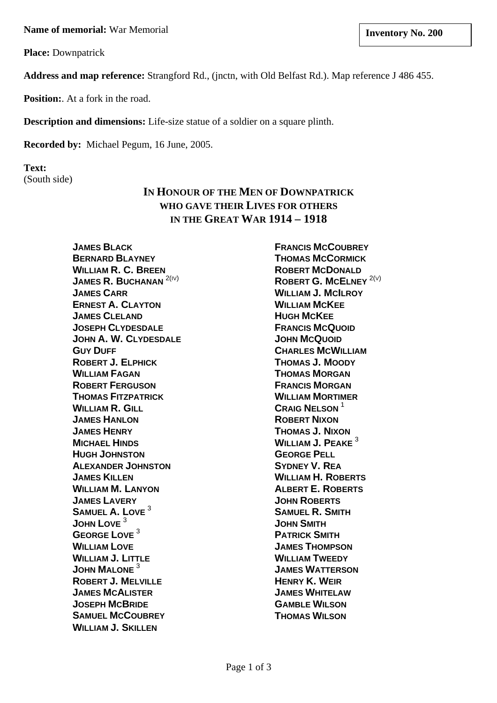**Name of memorial:** War Memorial **Inventory No. 200 limits and Inventory No. 200** 

**Place:** Downpatrick

**Address and map reference:** Strangford Rd., (jnctn, with Old Belfast Rd.). Map reference J 486 455.

**Position:** At a fork in the road.

**Description and dimensions:** Life-size statue of a soldier on a square plinth.

**Recorded by:** Michael Pegum, 16 June, 2005.

**Text:** (South side)

# **IN HONOUR OF THE MEN OF DOWNPATRICK WHO GAVE THEIR LIVES FOR OTHERS IN THE GREAT WAR 1914 – 1918**

**JAMES BLACK BERNARD BLAYNEY WILLIAM R. C. BREEN JAMES R. BUCHANAN<sup>2(IV)</sup> JAMES CARR ERNEST A. CLAYTON JAMES CLELAND JOSEPH CLYDESDALE JOHN A. W. CLYDESDALE GUY DUFF ROBERT J. ELPHICK WILLIAM FAGAN ROBERT FERGUSON THOMAS FITZPATRICK WILLIAM R. GILL JAMES HANLON JAMES HENRY MICHAEL HINDS HUGH JOHNSTON ALEXANDER JOHNSTON JAMES KILLEN WILLIAM M. LANYON JAMES LAVERY SAMUEL A. LOVE** <sup>3</sup> **JOHN LOVE** <sup>3</sup> **GEORGE LOVE** <sup>3</sup> **WILLIAM LOVE WILLIAM J. LITTLE JOHN MALONE** <sup>3</sup> **ROBERT J. MELVILLE JAMES MCALISTER JOSEPH MCBRIDE SAMUEL MCCOUBREY WILLIAM J. SKILLEN**

**FRANCIS MCCOUBREY THOMAS MCCORMICK ROBERT MCDONALD ROBERT G. MCELNEY** 2(V) **WILLIAM J. MCILROY WILLIAM MCKEE HUGH MCKEE FRANCIS MCQUOID JOHN MCQUOID CHARLES MCWILLIAM THOMAS J. MOODY THOMAS MORGAN FRANCIS MORGAN WILLIAM MORTIMER CRAIG NELSON** <sup>1</sup> **ROBERT NIXON THOMAS J. NIXON WILLIAM J. PEAKE** <sup>3</sup> **GEORGE PELL SYDNEY V. REA WILLIAM H. ROBERTS ALBERT E. ROBERTS JOHN ROBERTS SAMUEL R. SMITH JOHN SMITH PATRICK SMITH JAMES THOMPSON WILLIAM TWEEDY JAMES WATTERSON HENRY K. WEIR JAMES WHITELAW GAMBLE WILSON THOMAS WILSON**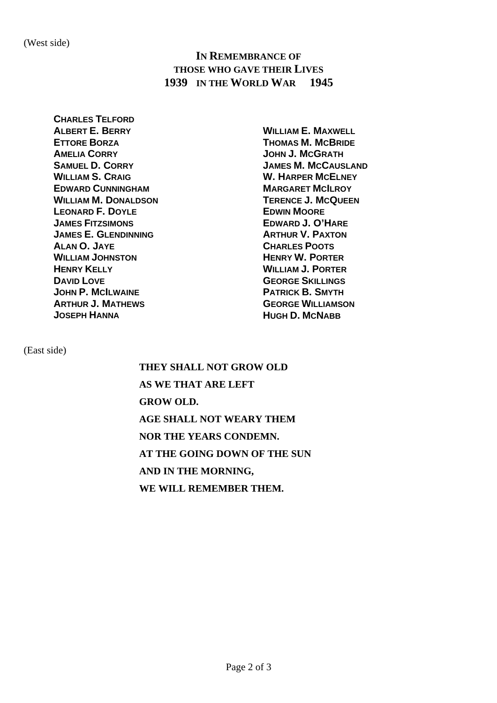## **IN REMEMBRANCE OF THOSE WHO GAVE THEIR LIVES 1939 IN THE WORLD WAR 1945**

**CHARLES TELFORD ALBERT E. BERRY ETTORE BORZA AMELIA CORRY SAMUEL D. CORRY WILLIAM S. CRAIG EDWARD CUNNINGHAM WILLIAM M. DONALDSON LEONARD F. DOYLE JAMES FITZSIMONS JAMES E. GLENDINNING ALAN O. JAYE WILLIAM JOHNSTON HENRY KELLY DAVID LOVE JOHN P. MCILWAINE ARTHUR J. MATHEWS JOSEPH HANNA**

**WILLIAM E. MAXWELL THOMAS M. MCBRIDE JOHN J. MCGRATH JAMES M. MCCAUSLAND W. HARPER MCELNEY MARGARET MCILROY TERENCE J. MCQUEEN EDWIN MOORE EDWARD J. O'HARE ARTHUR V. PAXTON CHARLES POOTS HENRY W. PORTER WILLIAM J. PORTER GEORGE SKILLINGS PATRICK B. SMYTH GEORGE WILLIAMSON HUGH D. MCNABB**

(East side)

**THEY SHALL NOT GROW OLD AS WE THAT ARE LEFT GROW OLD. AGE SHALL NOT WEARY THEM NOR THE YEARS CONDEMN. AT THE GOING DOWN OF THE SUN AND IN THE MORNING, WE WILL REMEMBER THEM.**